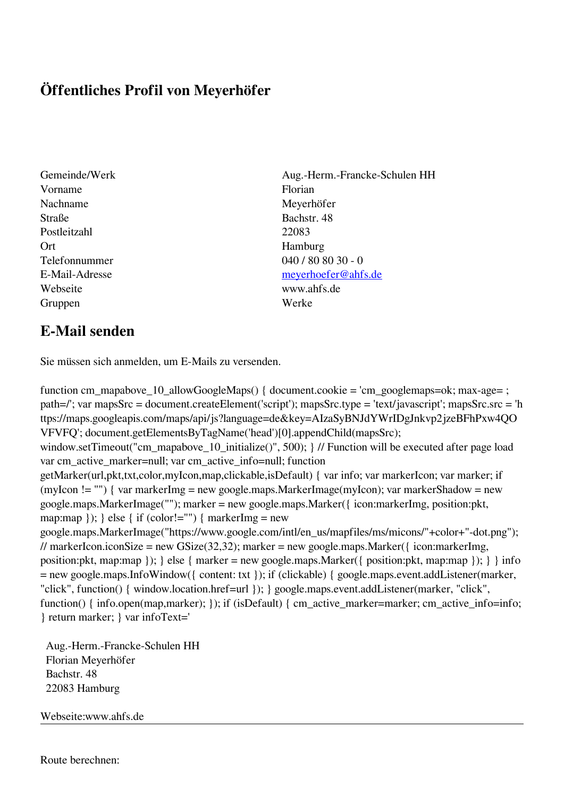## **Öffentliches Profil von Meyerhöfer**

- Gemeinde/Werk Aug.-Herm.-Francke-Schulen HH Vorname Florian Nachname Meyerhöfer Straße Bachstr. 48 Postleitzahl 22083 Ort Hamburg Webseite www.ahfs.de Gruppen Werke
- Telefonnummer 040 / 80 80 30 0 E-Mail-Adresse [meyerhoefer@ahfs.de](mailto:meyerhoefer@ahfs.de)

## **E-Mail senden**

Sie müssen sich anmelden, um E-Mails zu versenden.

function cm\_mapabove\_10\_allowGoogleMaps() { document.cookie = 'cm\_googlemaps=ok; max-age= ; path=/'; var mapsSrc = document.createElement('script'); mapsSrc.type = 'text/javascript'; mapsSrc.src = 'h ttps://maps.googleapis.com/maps/api/js?language=de&key=AIzaSyBNJdYWrIDgJnkvp2jzeBFhPxw4QO VFVFQ'; document.getElementsByTagName('head')[0].appendChild(mapsSrc); window.setTimeout("cm\_mapabove\_10\_initialize()", 500); } // Function will be executed after page load var cm\_active\_marker=null; var cm\_active\_info=null; function getMarker(url,pkt,txt,color,myIcon,map,clickable,isDefault) { var info; var markerIcon; var marker; if (myIcon != "") { var markerImg = new google.maps.MarkerImage(myIcon); var markerShadow = new google.maps.MarkerImage(""); marker = new google.maps.Marker({ icon:markerImg, position:pkt, map:map  $\}$ ;  $\}$  else  $\{$  if (color!="")  $\{$  markerImg = new google.maps.MarkerImage("https://www.google.com/intl/en\_us/mapfiles/ms/micons/"+color+"-dot.png"); // markerIcon.iconSize = new GSize(32,32); marker = new google.maps.Marker( $\{$  icon:markerImg, position:pkt, map:map }); } else { marker = new google.maps.Marker({ position:pkt, map:map }); } } info = new google.maps.InfoWindow({ content: txt }); if (clickable) { google.maps.event.addListener(marker, "click", function() { window.location.href=url }); } google.maps.event.addListener(marker, "click", function() { info.open(map,marker); }); if (isDefault) { cm\_active\_marker=marker; cm\_active\_info=info; } return marker; } var infoText='

 Aug.-Herm.-Francke-Schulen HH Florian Meyerhöfer Bachstr. 48 22083 Hamburg

Webseite:www.ahfs.de

Route berechnen: